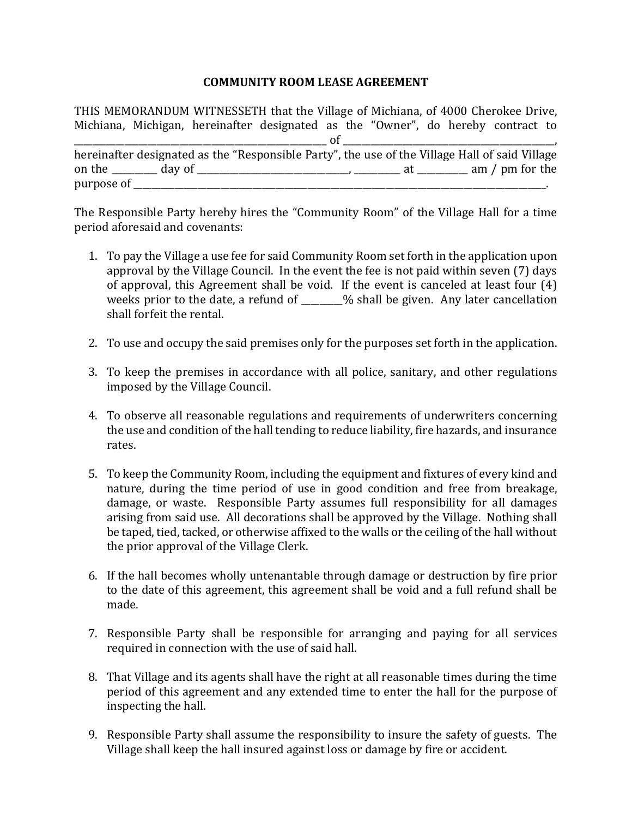## **COMMUNITY ROOM LEASE AGREEMENT**

THIS MEMORANDUM WITNESSETH that the Village of Michiana, of 4000 Cherokee Drive, Michiana, Michigan, hereinafter designated as the "Owner", do hereby contract to  $\circ$  of  $\circ$ hereinafter designated as the "Responsible Party", the use of the Village Hall of said Village on the \_\_\_\_\_\_\_\_\_\_ day of \_\_\_\_\_\_\_\_\_\_\_\_\_\_\_\_\_\_\_\_\_\_\_\_\_\_\_\_\_\_\_\_\_, \_\_\_\_\_\_\_\_\_\_ at \_\_\_\_\_\_\_\_\_\_\_ am / pm for the  $\Box$  purpose of  $\Box$ 

The Responsible Party hereby hires the "Community Room" of the Village Hall for a time period aforesaid and covenants:

- 1. To pay the Village a use fee for said Community Room set forth in the application upon approval by the Village Council. In the event the fee is not paid within seven (7) days of approval, this Agreement shall be void. If the event is canceled at least four  $(4)$ weeks prior to the date, a refund of \_\_\_\_\_\_% shall be given. Any later cancellation shall forfeit the rental.
- 2. To use and occupy the said premises only for the purposes set forth in the application.
- 3. To keep the premises in accordance with all police, sanitary, and other regulations imposed by the Village Council.
- 4. To observe all reasonable regulations and requirements of underwriters concerning the use and condition of the hall tending to reduce liability, fire hazards, and insurance rates.
- 5. To keep the Community Room, including the equipment and fixtures of every kind and nature, during the time period of use in good condition and free from breakage, damage, or waste. Responsible Party assumes full responsibility for all damages arising from said use. All decorations shall be approved by the Village. Nothing shall be taped, tied, tacked, or otherwise affixed to the walls or the ceiling of the hall without the prior approval of the Village Clerk.
- 6. If the hall becomes wholly untenantable through damage or destruction by fire prior to the date of this agreement, this agreement shall be void and a full refund shall be made.
- 7. Responsible Party shall be responsible for arranging and paying for all services required in connection with the use of said hall.
- 8. That Village and its agents shall have the right at all reasonable times during the time period of this agreement and any extended time to enter the hall for the purpose of inspecting the hall.
- 9. Responsible Party shall assume the responsibility to insure the safety of guests. The Village shall keep the hall insured against loss or damage by fire or accident.